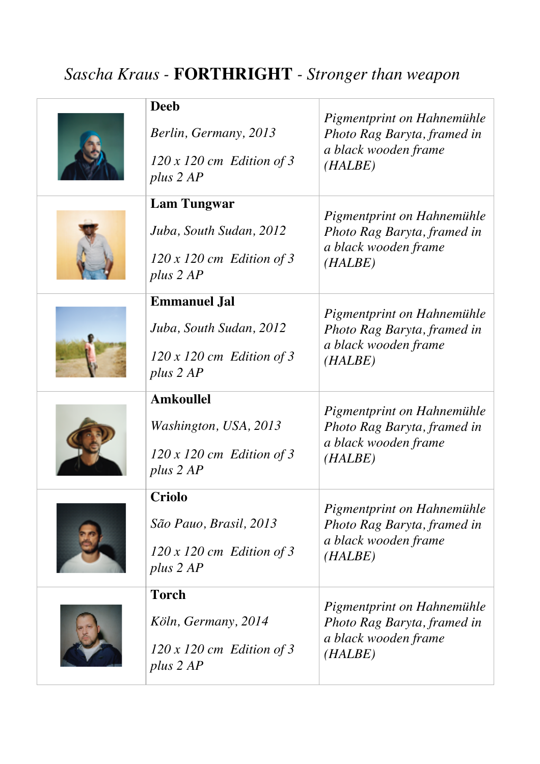## *Sascha Kraus -* **FORTHRIGHT** *- Stronger than weapon*

|  | <b>Deeb</b>                                   |                                                                                   |
|--|-----------------------------------------------|-----------------------------------------------------------------------------------|
|  | Berlin, Germany, 2013                         | Pigmentprint on Hahnemühle<br>Photo Rag Baryta, framed in                         |
|  | $120 \times 120$ cm Edition of 3<br>plus 2 AP | a black wooden frame<br>(HALBE)                                                   |
|  | <b>Lam Tungwar</b>                            |                                                                                   |
|  | Juba, South Sudan, 2012                       | Pigmentprint on Hahnemühle<br>Photo Rag Baryta, framed in                         |
|  | $120x120$ cm Edition of 3<br>plus 2 AP        | a black wooden frame<br>(HALBE)                                                   |
|  | <b>Emmanuel Jal</b>                           |                                                                                   |
|  | Juba, South Sudan, 2012                       | Pigmentprint on Hahnemühle<br>Photo Rag Baryta, framed in                         |
|  | $120x120$ cm Edition of 3<br>plus 2 AP        | a black wooden frame<br>(HALBE)                                                   |
|  | <b>Amkoullel</b>                              |                                                                                   |
|  |                                               | Pigmentprint on Hahnemühle                                                        |
|  | Washington, USA, 2013                         | Photo Rag Baryta, framed in                                                       |
|  | $120 \times 120$ cm Edition of 3<br>plus 2 AP | a black wooden frame<br>(HALBE)                                                   |
|  | <b>Criolo</b>                                 |                                                                                   |
|  | São Pauo, Brasil, 2013                        | Pigmentprint on Hahnemühle<br>Photo Rag Baryta, framed in                         |
|  | $120x120$ cm Edition of 3<br>plus $2 AP$      | a black wooden frame<br>(HALBE)                                                   |
|  | <b>Torch</b>                                  |                                                                                   |
|  | Köln, Germany, 2014                           | Pigmentprint on Hahnemühle<br>Photo Rag Baryta, framed in<br>a black wooden frame |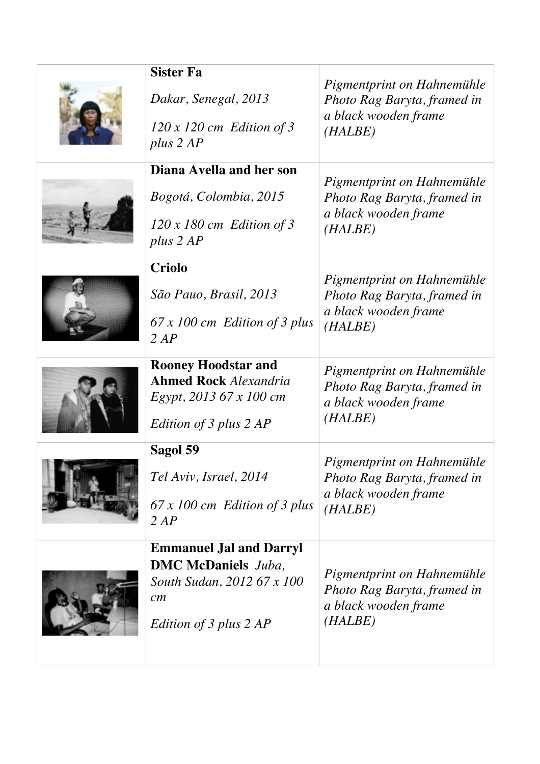| <b>Sister Fa</b><br>Dakar, Senegal, 2013<br>$120x120$ cm Edition of 3<br>plus 2 AP                                         | Pigmentprint on Hahnemühle<br>Photo Rag Baryta, framed in<br>a black wooden frame<br>(HALBE) |
|----------------------------------------------------------------------------------------------------------------------------|----------------------------------------------------------------------------------------------|
| Diana Avella and her son<br>Bogotá, Colombia, 2015<br>$120x180$ cm Edition of 3<br>plus 2 AP                               | Pigmentprint on Hahnemühle<br>Photo Rag Baryta, framed in<br>a black wooden frame<br>(HALBE) |
| <b>Criolo</b><br>São Pauo, Brasil, 2013<br>$67x100$ cm Edition of 3 plus<br>2 AP                                           | Pigmentprint on Hahnemühle<br>Photo Rag Baryta, framed in<br>a black wooden frame<br>(HALBE) |
| <b>Rooney Hoodstar and</b><br><b>Ahmed Rock Alexandria</b><br>Egypt, 2013 67 x 100 cm<br>Edition of 3 plus 2 AP            | Pigmentprint on Hahnemühle<br>Photo Rag Baryta, framed in<br>a black wooden frame<br>(HALBE) |
| Sagol 59<br>Tel Aviv, Israel, 2014<br>$67x100$ cm Edition of 3 plus<br>2 AP                                                | Pigmentprint on Hahnemühle<br>Photo Rag Baryta, framed in<br>a black wooden frame<br>(HALBE) |
| <b>Emmanuel Jal and Darryl</b><br><b>DMC McDaniels</b> Juba,<br>South Sudan, 2012 67 x 100<br>cm<br>Edition of 3 plus 2 AP | Pigmentprint on Hahnemühle<br>Photo Rag Baryta, framed in<br>a black wooden frame<br>(HALBE) |